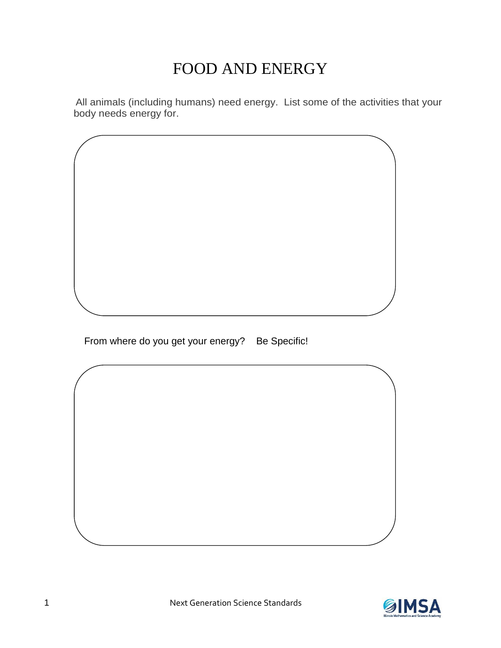#### FOOD AND ENERGY

 All animals (including humans) need energy. List some of the activities that your body needs energy for.

From where do you get your energy? Be Specific!

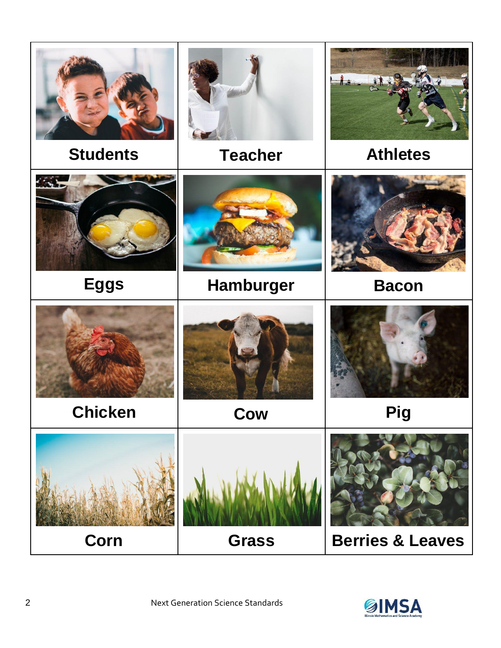

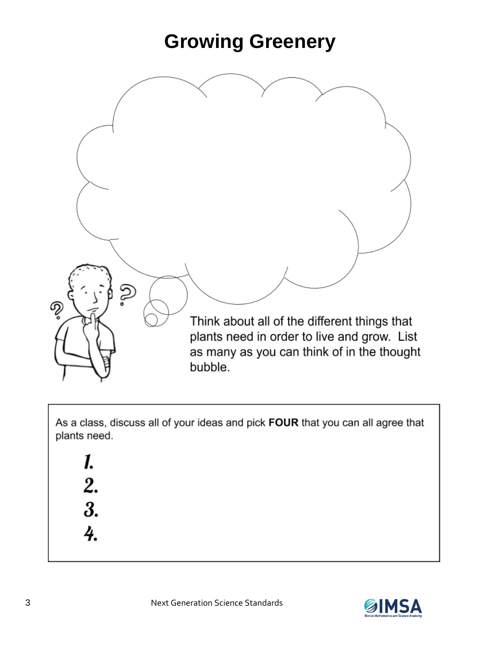#### **Growing Greenery**



As a class, discuss all of your ideas and pick FOUR that you can all agree that plants need.



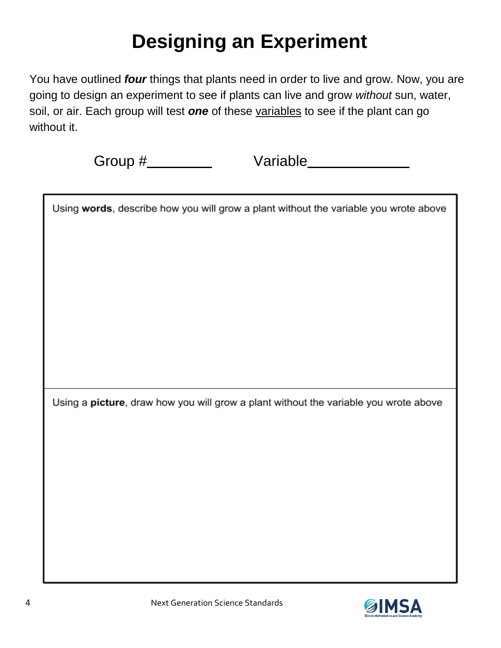# **Designing an Experiment**

You have outlined *four* things that plants need in order to live and grow. Now, you are going to design an experiment to see if plants can live and grow *without* sun, water, soil, or air. Each group will test *one* of these variables to see if the plant can go without it.

Group # Variable

| Using words, describe how you will grow a plant without the variable you wrote above |  |  |  |
|--------------------------------------------------------------------------------------|--|--|--|
|                                                                                      |  |  |  |
|                                                                                      |  |  |  |
|                                                                                      |  |  |  |
|                                                                                      |  |  |  |
|                                                                                      |  |  |  |
|                                                                                      |  |  |  |
|                                                                                      |  |  |  |
| Using a picture, draw how you will grow a plant without the variable you wrote above |  |  |  |
|                                                                                      |  |  |  |
|                                                                                      |  |  |  |
|                                                                                      |  |  |  |
|                                                                                      |  |  |  |

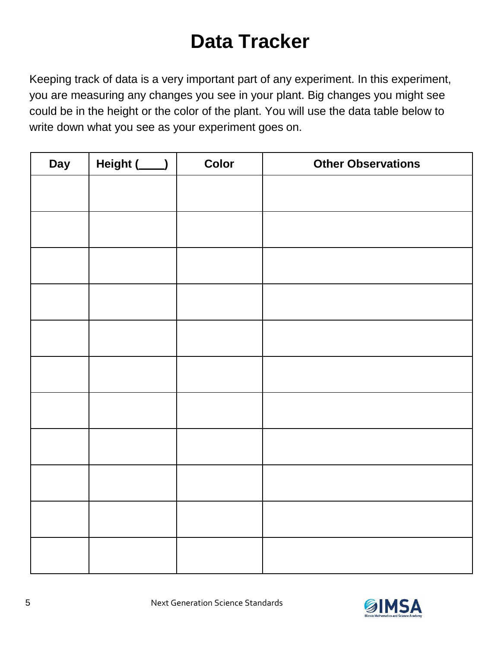### **Data Tracker**

Keeping track of data is a very important part of any experiment. In this experiment, you are measuring any changes you see in your plant. Big changes you might see could be in the height or the color of the plant. You will use the data table below to write down what you see as your experiment goes on.

| Day | Height (___) | <b>Color</b> | <b>Other Observations</b> |
|-----|--------------|--------------|---------------------------|
|     |              |              |                           |
|     |              |              |                           |
|     |              |              |                           |
|     |              |              |                           |
|     |              |              |                           |
|     |              |              |                           |
|     |              |              |                           |
|     |              |              |                           |
|     |              |              |                           |
|     |              |              |                           |
|     |              |              |                           |